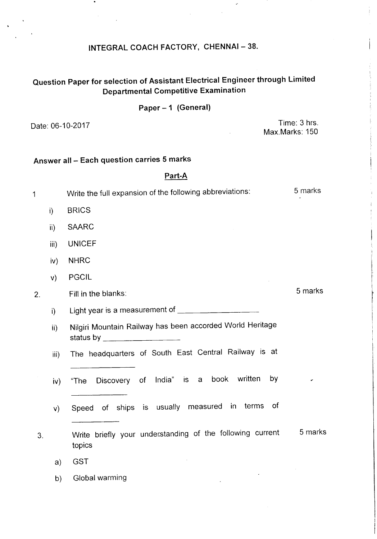## INTEGRAL COACH FACTORY, CHENNAI-38.

 $\ddot{\phantom{0}}$ 

## Question Paper for selection of Assistant Electrical Engineer through Limited Departmental Competitive Examination

### Paper - 1 (General)

Date: 06-10-2017 **Time: 3 hrs.** Max.Marks: 150

## Answer all - Each question carries 5 marks

#### Part-A

<sup>1</sup> Write the full expansion of the following abbreviations: <sup>5</sup> marks i) BRICS ii) SAARC iii) UNICEF iv) NHRC v) PGCIL 2. Fill in the blanks: 5 marks i) Light year is a measurement of \_ ii) Nilgiri Mountain Railway has been accorded World Heritage status by **we have a status** by 3. Write briefly your under.standing of the following current topics 5 marks iii) The headquarters of South East Central Railway is at iv) "The Discovery of India" is a book written by v) Speed of ships is usually measured in terms of a) GST b) Global warming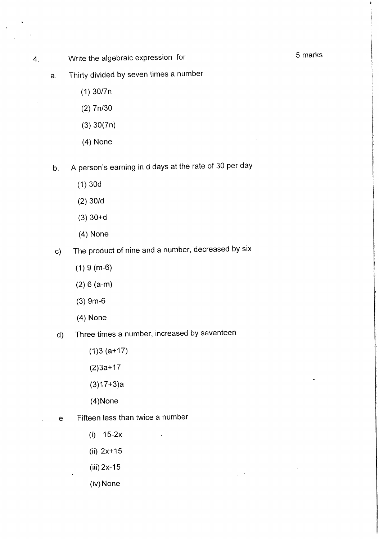- 4. Write the algebraic expression for the state of the 5 marks
	- a. Thirty divided by seven times a number
		- (1) 30/7n
		- (2) 7n/30
		- (3) 30(7n)
		- (4) None
	- b. A person's earning in d days at the rate of 30 per day
		- (1) 30d
		- (2) 30/d
		- (3) 30+d
		- (4) None
	- c) The product of nine and a number, decreased by six
		- (1) 9 (m-6)
		- (2) 6 (a-m)
		- (3) 9m-6
		- (4) None
	- d) Three times a number, increased by seventeen
		- (1)3 (a+17)
		- (2)3a+17
		- (3)17+3)a
		- (4)None
	- e Fifteen less than twice a number
		- (i) 15-2x
		- (ii) 2x+15
		- (iii) 2x-15
		- (iv) None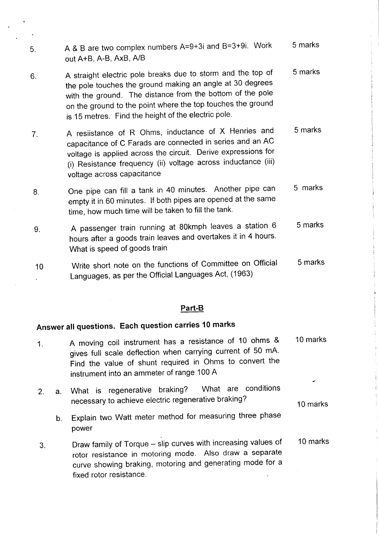- 5. A & B are two complex numbers A=9+3i and B=3+9i. Work out A+B, A-B, AxB, AlB 6. A straight electric pole breaks due to storm and the top of 5 marks 5 marks
- the pole touches the ground making an angle at 30 degrees with the ground. The distance from the bottom of the pole on the ground to the point where the top touches the ground is 15 metres. Find the height of the electric pole.
- 7. A resiistance of R Ohms, inductance of X Henries and capacitance of C Farads are connected in series and an AC voltage is applied across the circuit. Derive expressions for (i) Resistance frequency (ii) voltage across inductance (iii) voltage across capacitance 5 marks
- 8. One pipe can fill a tank in 40 minutes. Another pipe can empty it in 60 minutes. If both pipes are opened at the same time, how much time will be taken to fill the tank. 5 marks
- 9. A passenger train running at 80kmph leaves a station 6 hours after a goods train leaves and overtakes it in 4 hours. What is speed of goods train 5 marks
- 10 Write short note on the functions of Committee on Official Languages, as per the Official Languages Act, (1963) 5 marks

### **Part-B**

## **Answer all questions. Each question carries 10 marks**

- 1. A moving coil instrument has a resistance of 10 ohms & gives full scale deflection when carrying current of 50 mA. Find the value of shunt required in Ohms to convert the instrument into an ammeter of range 100 A 2. a. What is regenerative braking? What are conditions 10 marks
	- necessary to achieve electric regenerative braking? 10 marks
		- b. Explain two Watt meter method for measuring three phase power
- 3. Draw family of Torque slip curves with increasing values of rotor resistance in motoring mode. Also draw a separate curve showing braking, motoring and generating mode for a fixed rotor resistance. 10 marks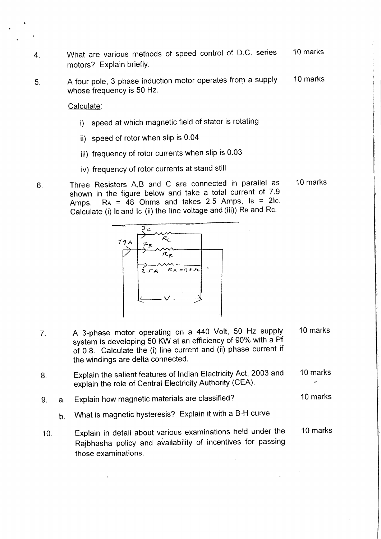- 4. What are various methods of speed control of D.C. series 10 marks motors? Explain briefly.
- 5. A four pole, 3 phase induction motor operates from a supply whose frequency is 50 Hz. 10 marks

Calculate:

- i) speed at which magnetic field of stator is rotating
- ii) speed of rotor when slip is 0.04
- iii) frequency of rotor currents when slip is 0.03
- iv) frequency of rotor currents at stand still
- 6. Three Resistors A,B and C are connected in parallel as shown in the figure below and take a total current of 7.9 Amps.  $Ra = 48$  Ohms and takes 2.5 Amps,  $Is = 2lc$ . Calculate (i) Is and Ic (ii) the line voltage and (iii)) Rs and Rc. 10 marks



- 7. A 3-phase motor operating on a 440 Volt, 50 Hz supply 10 marks system is developing 50 KW at an efficiency of 90% with a Pf of 0.8. Calculate the (i) line current and (ii) phase current if the windings are delta connected.
- 8. Explain the salient features of Indian Electricity Act, 2003 and 10 marks explain the role of Central Electricity Authority (CEA).
- 9. a. Explain how magnetic materials are classified? 10 marks
	- b. What is magnetic hysteresis? Explain it with a B-H curve
- 10. Explain in detail about various examinations held under the 10 marks Rajbhasha policy and availability of incentives for passing those examinations.